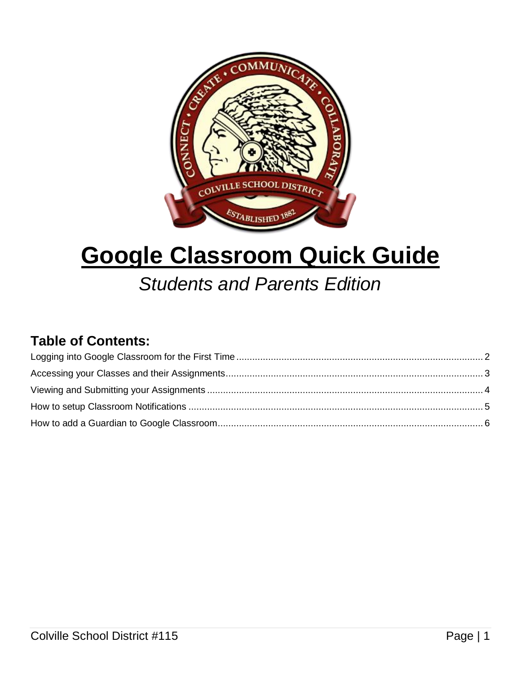

# **Google Classroom Quick Guide**

## *Students and Parents Edition*

#### **Table of Contents:**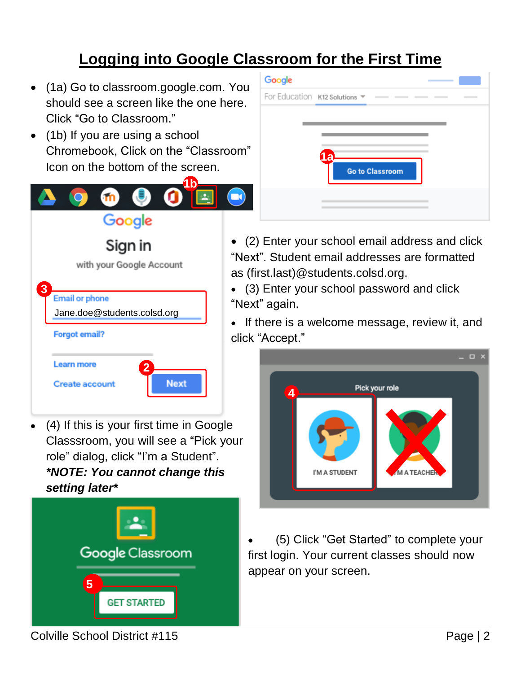### **Logging into Google Classroom for the First Time**

- <span id="page-1-0"></span> (1a) Go to [classroom.google.com.](https://classroom.google.com/) You should see a screen like the one here. Click "Go to Classroom."
- (1b) If you are using a school Chromebook, Click on the "Classroom" Icon on the bottom of the screen.

|                              | 4 <sub>b</sub> |
|------------------------------|----------------|
| GO)                          |                |
| Google                       |                |
| Sign in                      | $\mathbf{G}$   |
| with your Google Account     |                |
|                              | а              |
| 3                            |                |
| <b>Email or phone</b>        | $\mathbf{G}$   |
| Jane.doe@students.colsd.org  |                |
| <b>Forgot email?</b>         | C              |
| Learn more<br>$\overline{2}$ |                |
| <b>Create account</b>        | <b>Next</b>    |

 (4) If this is your first time in Google Classsroom, you will see a "Pick your role" dialog, click "I'm a Student". *\*NOTE: You cannot change this setting later\**



| Google |                                 |                              |
|--------|---------------------------------|------------------------------|
|        | For Education K12 Solutions ▼ – | <br>$\overline{\phantom{a}}$ |
|        |                                 |                              |
|        |                                 |                              |
|        | <b>1a</b>                       |                              |
|        | <b>Go to Classroom</b>          |                              |
|        |                                 |                              |
|        |                                 |                              |
|        |                                 |                              |

 (2) Enter your school email address and click Next". Student email addresses are formatted as (first.last)@students.colsd.org.

 (3) Enter your school password and click Next" again.

 If there is a welcome message, review it, and click "Accept."



 (5) Click "Get Started" to complete your first login. Your current classes should now appear on your screen.

Colville School District #115 Page | 2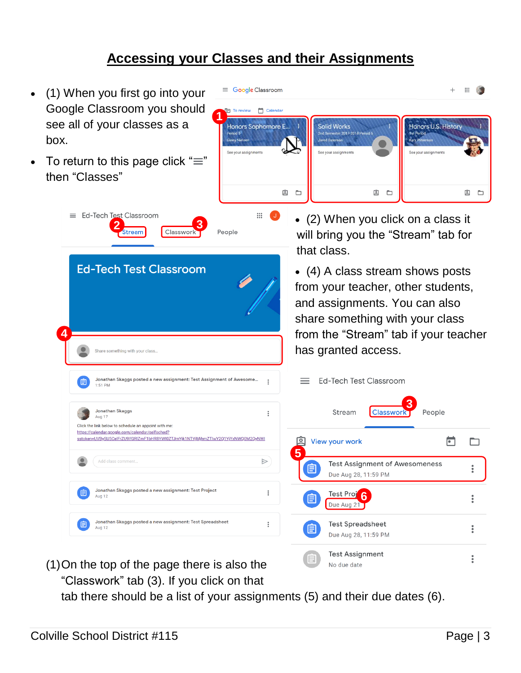#### **Accessing your Classes and their Assignments**

<span id="page-2-0"></span>

tab there should be a list of your assignments (5) and their due dates (6).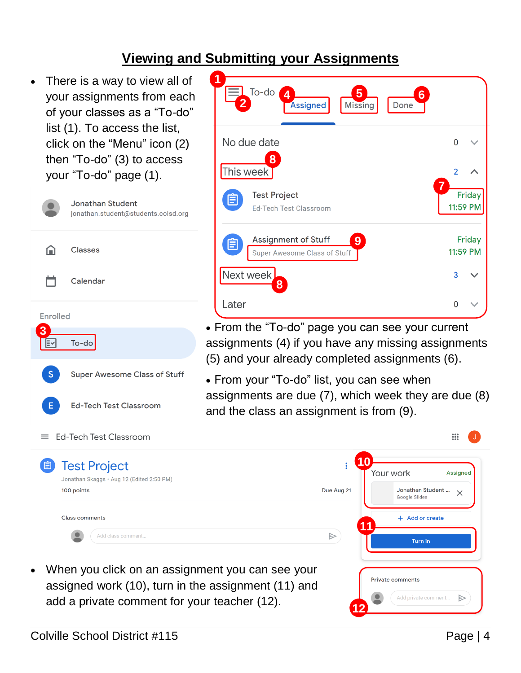#### <span id="page-3-0"></span>**Viewing and Submitting your Assignments**

 There is a way to view all of your assignments from each of your classes as a "To-do" list (1). To access the list, click on the "Menu" icon (2) then "To-do" (3) to access your "To-do" page (1).



| 1<br>2     | $To-do$<br>5<br>$\overline{4}$<br>6<br><b>Missing</b><br>Assigned<br>Done |                |                           |
|------------|---------------------------------------------------------------------------|----------------|---------------------------|
|            | No due date                                                               | 0              |                           |
| This week] | 8                                                                         | $\overline{2}$ |                           |
| Ë          | <b>Test Project</b><br><b>Ed-Tech Test Classroom</b>                      | 7              | <b>Friday</b><br>11:59 PM |
| Ë          | <b>Assignment of Stuff</b><br>9<br>Super Awesome Class of Stuff           |                | Friday<br>11:59 PM        |
| Next week  | 8                                                                         | 3              |                           |
| Later      |                                                                           | U              |                           |

- From the "To-do" page you can see your current assignments (4) if you have any missing assignments (5) and your already completed assignments (6).
- From your "To-do" list, you can see when assignments are due (7), which week they are due (8) and the class an assignment is from (9).

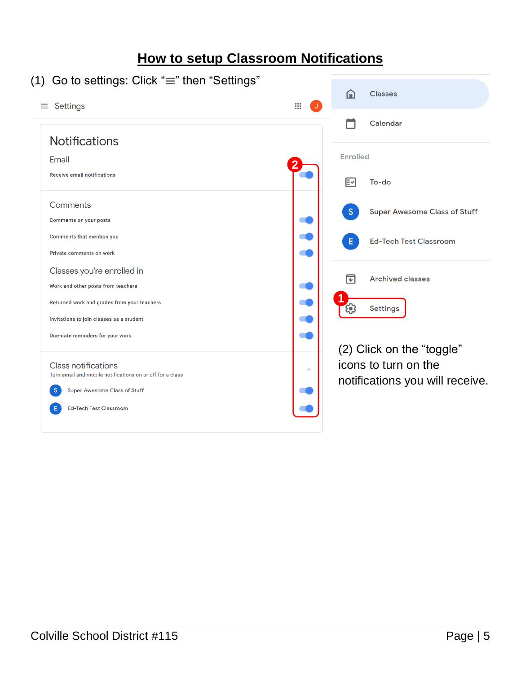#### <span id="page-4-0"></span>**How to setup Classroom Notifications** (1) Go to settings: Click " $\equiv$ " then "Settings"  $\Omega$ Classes

| Settings<br>≡                                             | $\ddot{}$                                           |
|-----------------------------------------------------------|-----------------------------------------------------|
|                                                           | Calendar                                            |
| <b>Notifications</b>                                      |                                                     |
| Email                                                     | Enrolled                                            |
| <b>Receive email notifications</b>                        | ΕΜ<br>To-do                                         |
| Comments                                                  | <sub>S</sub><br><b>Super Awesome Class of Stuff</b> |
| <b>Comments on your posts</b>                             |                                                     |
| Comments that mention you                                 | <b>Ed-Tech Test Classroom</b><br>Ε                  |
| Private comments on work                                  |                                                     |
| Classes you're enrolled in                                | 冋<br><b>Archived classes</b>                        |
| Work and other posts from teachers                        |                                                     |
| Returned work and grades from your teachers               | <b>Settings</b>                                     |
| Invitations to join classes as a student                  |                                                     |
| Due-date reminders for your work                          |                                                     |
| <b>Class notifications</b>                                | (2) Click on the "toggle"<br>icons to turn on the   |
| Turn email and mobile notifications on or off for a class | $\curvearrowright$                                  |
| <b>S</b><br>Super Awesome Class of Stuff                  | notifications you will receive.                     |
| <b>Ed-Tech Test Classroom</b>                             |                                                     |
|                                                           |                                                     |